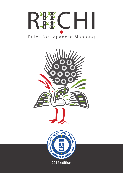

# Rules for Japanese Mahjong

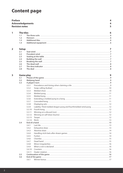# **Content page**

| <b>Preface</b> | <b>Revision notes</b> | <b>Acknowledgements</b> |                                         | 4<br>4<br>5 |
|----------------|-----------------------|-------------------------|-----------------------------------------|-------------|
| 1              | <b>The tiles</b>      |                         |                                         | 6           |
|                | 1.1                   |                         |                                         |             |
|                | 1.2                   |                         |                                         |             |
|                | 1.3                   |                         |                                         |             |
|                | 1.4                   |                         |                                         |             |
| $\overline{2}$ | <b>Setup</b>          |                         |                                         | 7           |
|                | 2.1                   |                         |                                         |             |
|                | 2.2                   |                         |                                         |             |
|                | 2.3                   |                         |                                         |             |
|                | 2.4<br>2.5            |                         |                                         |             |
|                | 2.6                   |                         |                                         |             |
|                | 2.7                   |                         | The dora indicator <b>Exercise 20</b> 8 |             |
|                | 2.8                   |                         |                                         |             |
| 3              |                       | <b>Game play</b>        |                                         | 9           |
|                | 3.1                   |                         |                                         |             |
|                | 3.2                   |                         |                                         |             |
|                | 3.3                   |                         |                                         |             |
|                |                       | 3.3.1                   |                                         |             |
|                |                       | 3.3.2                   |                                         |             |
|                |                       | 3.3.3                   |                                         |             |
|                |                       | 3.3.4                   |                                         |             |
|                |                       | 3.3.5                   |                                         |             |
|                |                       | 3.3.6                   |                                         |             |
|                |                       | 3.3.7                   |                                         |             |
|                |                       | 3.3.8                   |                                         |             |
|                |                       | 3.3.9                   |                                         |             |
|                |                       | 3.3.10                  | Fourth kong                             |             |
|                |                       | 3.3.11                  |                                         |             |
|                |                       | 3.3.12                  |                                         |             |
|                |                       | 3.3.13                  |                                         |             |
|                | 3.4                   | 3.3.14                  |                                         |             |
|                |                       | 3.4.1                   |                                         |             |
|                |                       | 3.4.2                   |                                         |             |
|                |                       | 3.4.3                   |                                         |             |
|                |                       | 3.4.4                   |                                         |             |
|                |                       | 3.4.5                   |                                         |             |
|                |                       | 3.4.6                   |                                         |             |
|                |                       | 3.4.7                   |                                         |             |
|                |                       | 3.4.8                   |                                         |             |
|                |                       | 3.4.9                   |                                         |             |
|                |                       | 3.4.10                  |                                         |             |
|                |                       | 3.4.11                  |                                         |             |
|                | 3.5                   |                         |                                         |             |
|                | 3.6                   |                         |                                         |             |
|                |                       | 3.6.1                   |                                         |             |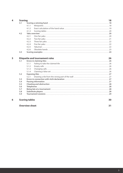| 4 | <b>Scoring</b> | 18    |                                                                  |    |
|---|----------------|-------|------------------------------------------------------------------|----|
|   | 4.1            |       |                                                                  |    |
|   |                | 4.1.1 |                                                                  |    |
|   |                | 4.1.2 |                                                                  |    |
|   |                | 4.1.3 |                                                                  |    |
|   | 4.2            |       |                                                                  |    |
|   |                | 4.2.1 |                                                                  |    |
|   |                | 4.2.2 |                                                                  |    |
|   |                | 4.2.3 |                                                                  |    |
|   |                | 4.2.4 |                                                                  |    |
|   |                | 4.2.5 |                                                                  |    |
|   |                | 4.2.6 |                                                                  |    |
|   | 4.3            |       |                                                                  |    |
|   |                |       |                                                                  |    |
| 5 |                |       | <b>Etiquette and tournament rules</b>                            | 26 |
|   | 5.1            |       | Errors in claiming tiles <b>Constitution and Constitution</b> 26 |    |
|   |                | 5.1.1 |                                                                  |    |
|   |                | 5.1.2 |                                                                  |    |
|   |                | 5.1.3 |                                                                  |    |
|   |                | 5.1.4 |                                                                  |    |
|   | 5.2            |       |                                                                  |    |
|   |                | 5.2.1 |                                                                  |    |
|   | 5.3            |       |                                                                  |    |
|   | 5.4            |       |                                                                  |    |
|   | 5.5            |       |                                                                  |    |
|   | 5.6            |       |                                                                  |    |
|   | 5.7            |       |                                                                  |    |
|   |                |       |                                                                  |    |

**5.8 Substitute players 28 5.9 Tournament sessions 29**

## **6 Scoring tables 30**

## **Overview sheet 31**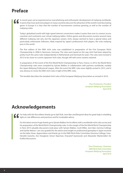# **Preface**

## In recent years we've experienced an overwhelming and enthusiastic development of mahjong worldwide. It seems that more and more players in many countries discover the attraction of the world's most fascinating game. In Europe it is clear that the number of tournaments continue growing, as well as the number of mahjong clubs.

Today's globalized world with high-speed internet connections makes it easier than ever to connect across countries and continents over virtual mahjong tables. Online games and discussions revolve around many different mahjong rule sets, but the Japanese variant, riichi, always seemed to have a special status and particularly enthusiastic followers, likely inspired by Japan's professional riichi players, the only mahjong pros in the world.

The first edition of the EMA riichi rules was established in preparation of the First European Riichi Championship in 2008 in Hannover, Germany. The rules were based on the way riichi had been played by pretty much the same rules independently in Netherlands and Denmark for years. The rules were revised in 2012 to be closer to current Japanese riichi rules, though still with some variants retained.

In preparation of the event of the first World Riichi Championship in Paris, France, in 2014, the World Riichi Championship rules were compiled by Sylvain Malbec in collaboration with partners worldwide, notably the Japan Mahjong Professional League. After the event the WRC rules were slightly revised in 2015, and it was obvious to revise the EMA riichi rules in light of the WRC rules.

This booklet describes the standard riichi rules of the European Mahjong Association as revised in 2016.

*Tina Christensen, President European Mahjong Association April 2016*

# **Acknowledgements**

For help with the first edition thanks go to Sjef Strik, Jenn Barr and Benjamin Boas for great help in shedding light on rule differences and practices and for invaluable advice.

For this latest version huge thanks go to Sylvain Malbec for his efforts with a worldwide riichi rules survey and his preparation of the World Riichi Championship rules. In the margin of the first World Riichi Championship in Paris 2014 valuable discussions took place with Sylvain Malbec, Scott Miller, Jenn Barr, Gemma Collinge and Garthe Nelson. I am very grateful for the advice and insight on professional gameplay in Japan received via the latter three. Appreciation and thanks go to the EMA Riichi Rule Committee (Gemma Collinge, Sven-Hendrik Gutsche, Ans Hoogland, Simon Naarman, Krzysztof Sasinowski and Alexander Wankmüller) for fruitful discussions.

> *Tina Christensen, Chairman EMA Riichi Rule Committee European Mahjong Association April 2016*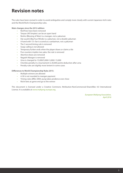# **Revision notes**

The rules have been revised in order to avoid ambiguities and comply more closely with current Japanese riichi rules and the World Riichi Championship rules.

### **Main changes since the 2012 edition:**

- Red fives have been removed
- Tanyao (All Simples) can be an open hand
- Renho (Blessing of Man) is a mangan, not a yakuman
- Dai suushii (Big Four Winds) is a yakuman, not a double yakuman
- A hand with 13+ fan is scored as a sanbaiman, not a yakuman
- The 3 second timing rule is removed
- Swap-calling is not allowed
- Temporary furiten ends when the player draws or claims a tile
- Five counters implies two yaku: the rule is removed
- Abortive draws are removed
- Nagashi Mangan is removed
- Uma is changed to 15,000/5,000/-5,000/-15,000
- Chombo penalty in a tournament is 20,000 points deduction after uma
- Penalty rules are slightly more lenient in some cases

#### **Differences to World Championship Rules 2015:**

- Multiple winners are allowed
- 4-30 is not rounded to mangan payment
- Timing rules differ; EMA: pung takes predence over chow
- Riichi bets at game end go to the winner

This document is licensed under a Creative Commons Attribution-NonCommercial-ShareAlike 4.0 International License. It is available at www.mahjong-europe.org.

> *European Mahjong Association, April 2016*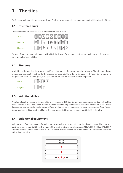# **1 The tiles**

The 34 basic mahjong tiles are presented here. A full set of mahjong tiles contains four identical tiles of each of these.

# **1.1 The three suits**

There are three suits, each has tiles numbered from one to nine:

| <b>Circles</b>    | 8888<br>8888<br>盛<br>B<br>盛<br>⊛<br>69<br>⊛<br>ø<br>⊛<br>⊛<br>ø<br>Š<br>88<br>Ø9<br>8<br>8<br>69<br>ø<br>$\circledcirc$<br>69<br>ø |  |
|-------------------|------------------------------------------------------------------------------------------------------------------------------------|--|
| <b>Bamboo</b>     | aaa<br>AAH<br>计目标                                                                                                                  |  |
| <b>Characters</b> | 伍萬<br>$\boldsymbol{\varpi}$<br>公寓<br>萬<br>萬萬<br>萬<br>萬<br>萬<br>蓠<br>蓠                                                              |  |

The one of bamboo is often decorated with a bird, the design of which often varies across mahjong sets. The ones and nines are called terminal tiles.

# **1.2 Honours**

In addition to the suit tiles, there are seven different honour tiles: four winds and three dragons. The winds are shown in the order: east-south-west-north. The dragons are shown in the order: white-green-red. The design of the white dragon varies across mahjong sets; usually it is either a blank tile or a blue frame is depicted.



# **1.3 Additional tiles**

With four of each of the above tiles, a mahjong set consists of 136 tiles. Sometimes mahjong sets contain further tiles: flower, season or joker tiles, which are not used in riichi mahjong. Japanese tile sets often include red fives. The red fives are sometimes used to replace normal fives, so that each suit has one red five and three normal fives. The red fives would then add an additional fan to the hand value. Red fives are no longer used in EMA riichi rules.

# **1.4 Additional equipment**

Mahjong sets often have markers for indicating the prevalent wind and sticks used for keeping score. These are also used for counters and riichi bets. The value of the scoring sticks shown below are: 100, 1,000, 5,000 and 10,000. A stick of a different colour can be used for the value 500. Players begin with 30,000 points. The set should also come with at least two dice.

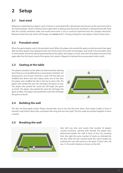# **2 Setup**

# **2.1 Seat wind**

Mahjong is played by four players, each of whom is associated with a directional wind known as the seat wind. East is the starting player. South is sitting at East's right, West is sitting across from East, and North is sitting at East's left. Note that the counter-clockwise order east-south-west-north is not as could be expected from the compass directions. Between hands the seat winds will change, see **section 3.4.11**. During a full game, each player is East at least twice.

# **2.2 Prevalent wind**

When the game begins, east is the prevalent wind. When the player who started the game as East becomes East again after all other players have played at least one hand as East, the south round begins, and south is the prevalent wind. A wind marker should be placed permanently by the player who begins as East, and when this player becomes East again after the first (east) round of the game, the marker is flipped to indicate the new prevalent wind, south.

# **2.3 Seating at the table**

The players' positions at the table are determined by drawing lots if they are not predefined by a tournament schedule. For drawing lots, one of each wind tile is used. The four tiles are shuffled face down and each player picks one of the tiles; the player who shuffled the tiles is the last to pick a tile. The player who picked the east tile will begin the game as East. The player who picked the south tile will begin the game as South. The player who picked the west tile will begin the game as West. The player who picked the north tile will begin the game as North.



# **2.4 Building the wall**

The tiles are thoroughly mixed. Players should take care to mix the tiles face down. Each player builds in front of himself a wall of face-down tiles, seventeen tiles long and two tiers high. The four walls are pushed together to form a square.

# **2.5 Breaking the wall**



East rolls two dice and counts that number of players counter-clockwise, starting with himself. The player thus determined breaks the wall in front of him, by counting from the right the same number of stacks as indicated by the dice. After the last counted stack the wall is broken by pushing the two wall sections a bit apart. If East's dice roll was 12, the wall is broken as shown on the left.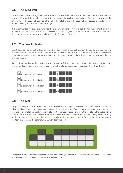# **2.6 The dead wall**

The seven tile stacks to the right of the break make up the dead wall. The dead wall continues around the corner to the next wall, if the end of the wall is reached. After the seventh tile stack, the two sections of the wall may be pushed a bit apart to set the dead wall apart from the end of the wall. The tiles in the dead wall are not used in the play, except for the providing of replacement tiles for kongs.

It is recommended for the player who has the dead wall in front of him to place the first replacement tile to the immediate left of the dead wall, so that the wall has first two single tiles and then six tile stacks. This is in order to decrease the risk of knocking down and revealing the first replacement tile.

# **2.7 The dora indicator**

Count three tile stacks into the dead wall from the original break in the wall, and turn the top tile over to determine the dora indicator. This tile indicates which tile is dora. If the dora indicator is a suit tile, the dora is the next tile in the same suit, e.g. seven bamboo is dora if six bamboo is the dora indicator. If the indicator is a nine, the dora is the one in the same suit.

If the indicator is a dragon, the dora is also a dragon, and the following order applies: red points to white, white points to green and green points to red. For winds, likewise, the following order applies: east-south-west-north-east.



# **2.8 The deal**

The player who is East takes the first four tiles in the wall after the original break in the wall. Tiles are taken clockwise, while the players' turns proceed counter-clockwise, South takes the next four tiles, West the next four, North the next four and so on until all players have twelve tiles. East continues by taking two tiles: the top tiles in the first and third stacks in the wall. South, West and North each take one tile in order. (This corresponds to East taking one tile, waiting for the other players to take one tile each, and then East takes his fourteenth tile). East now has a starting hand of fourteen tiles, whereas the other players have thirteen tiles each.



Each player arranges his tiles upright in front of himself, so only he can see the faces. The dice are placed at East's right; in this way it is always clear to all players which player is East.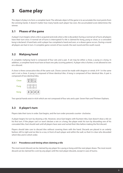# **3 Game play**

The object of play is to form a complete hand. The ultimate object of the game is to accumulate the most points from the winning hands. It doesn't matter how many hands each player has won, the accumulated score determines the winner.

# **3.1 Phases of the game**

A player's turn begins when a tile is acquired and ends when a tile is discarded. During a normal set of turns all players have their turn once. A normal set of turns is interrupted if a tile is claimed for kong, pung or chow, or a concealed kong is declared. A hand lasts until a player has completed a hand and won, or a drawn game occurs. During a round all players are East in turn. A complete game consist of two rounds: the east round and the south round.

# **3.2 Mahjong hand**

A complete mahjong hand is composed of four sets and a pair. A set may be either a chow, a pung or a kong. In addition, a complete hand must have at least one yaku (scoring pattern). A player who is furiten, is not allowed to win on a discard.

A chow is three consecutive tiles of the same suit. Chows cannot be made with dragons or winds. 8-9-1 in the same suit is not a chow. A pung is composed of three identical tiles. A kong is composed of four identical tiles. A pair is composed of two identical tiles.



Two special hands exist in riichi which are not composed of four sets and a pair: Seven Pairs and Thirteen Orphans.

# **3.3 A player's turn**

Players take their turns in order. East begins, and the turn order proceeds counter- clockwise.

A player begins his turn by drawing a tile. However, since East begins with fourteen tiles, East doesn't draw a tile on his first turn. If the player can't or won't declare a win or a kong, the player ends his turn by discarding one of his concealed tiles. East should wait until all players have seen and sorted their tiles before making the first discard.

Players should take care to discard tiles without covering them with the hand. Discards are placed in an orderly fashion, left to right and six tiles to a row, in front of each player and within the wall, so that it is clear who discarded which tiles and in which order.

## **3.3.1 Precedence and timing when claiming a tile**

The most recent discard can be claimed by any player for a pung or kong until the next player draws. The most recent discard can be claimed for a win by any player until the next player discards, except in case of tsumo.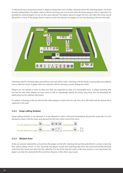A claimed kong or pung may result in players losing their turn, as play continues from the claiming player, not from the discarding player. If a player claims a tile for winning, any concurrent claim for kong, pung or chow is ignored. It is possible for several players to win on the same discard. The player about to begin his turn can claim the most recent discard for a chow. If the player doesn't want to claim the discard, he begins his turn by drawing a tile from the wall.



Claiming a tile for winning takes precedence over any other claim. Claiming a tile for kong or pung takes precedence over a claim for chow. A player who has claimed a tile for winning cannot change his claim.

Players are not limited in time to play, but they are expected to play at a reasonable pace. A player drawing tiles too fast for the other players to have time to call, or repeatedly taking an overly long time, can be penalized for obstruction at the referee's discretion.

If a player is drawing a tile too fast for the other players to have time to call, the call is still valid and the drawn tile is replaced in the wall.

## **3.3.2 Swap-calling (kuikae)**

Swap-calling (kuikae) is not allowed. It is not allowed to claim a tile and immediately discard the same tile. It is not allowed to claim a tile for chow and discard the tile from other end of the chow.



#### **3.3.3 Melded chow**

A tile can only be claimed for a chow from the player on the left. Claiming the last discarded tile for a chow is done by first clearly calling "chow" or "chi". Secondly the player reveals the matching tiles from the hand and thirdly discards a tile from the hand and claim the tile called for. For the third step the order of the two actions is not important: the player can take the claimed tile first and then discard, or the other way round.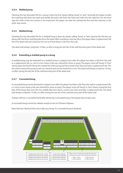## **3.3.4 Melded pung**

Claiming the last discarded tile for a pung is done by first clearly calling "pung" or "pon". Secondly the player reveals the matching tiles from the hand and thirdly discards a tile from the hand and claim the tile called for. For the third step the order of the two actions is not important: the player can take the claimed tile first and then discard, or the other way round.

## **3.3.5 Melded kong**

Claiming the last discarded tile for a melded kong is done by clearly calling "kong" or "kan", placing the tile face-up along with the three matching tiles from the hand. After revealing a new kan dora, the player takes a replacement tile from the dead wall and continues his turn as if he'd drawn a tile from the wall.

The dead wall always comprises 14 tiles, so after a kong the last tile of the wall becomes part of the dead wall.

### **3.3.6 Extending a melded pung to a kong**

A melded pung may be extended to a melded kong in a player's turn after the player has taken a tile from the wall or a replacement tile, i.e. not in a turn where a tile was claimed for chow or pung. The player must call "kong" or "kan" clearly, place the fourth tile by the rotated tile of the pung and then reveal a kan dora and take a replacement tile. The tile used to extend the pung counts as a discard, and can be claimed for a win. The dead wall always comprises 14 tiles, so after a kong the last tile of the wall becomes part of the dead wall.

## **3.3.7 Concealed kong**

A concealed kong may be declared in a player's turn after the player has taken a tile from the wall or a replacement tile, i.e. not in a turn where a tile was claimed for chow or pung. The player must call "kong" or "kan" clearly, reveal the four tiles of the kong, then turn the two middle tiles face-down, reveal a kan dora and take a replacement tile. The dead wall always comprises 14 tiles, so after a kong the last tile of the wall becomes part of the dead wall.

A player still has a concealed hand after declaring a concealed kong, if the player has no open sets.

A concealed kong cannot be robbed, except to win on Thirteen Orphans.

Note that four identical tiles only make up a kong, if a concealed kong is declared.

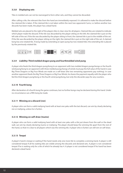## **3.3.8 Displaying sets**

Tiles in melded sets can not be rearranged to form other sets, and they cannot be discarded.

After calling a tile, the relevant tiles from the hand are immediately exposed. It is allowed to make the discard before the claimed tile is taken. If the claimed tile is not taken within the next two opponents' turns, i.e. before another two discards has been made, the player has a dead hand.

Melded sets are placed to the right of the players tiles in clear view for all players. Claimed tiles are rotated to indicate which player made the discard. If the tile was discarded by the player sitting on the left, the claimed tile is put on the left side of the set. If the tile was discarded by the player sitting in front, the claimed tile is put in the middle of the set. If the tile was discarded by the player sitting on the right, the claimed tile is put on the right side of the set. A claimed kong has one rotated tile. A kong made by extending an open pung has two rotated tiles: the extending tile is placed by the previously rotated tile.



## **3.3.9 Liability: Third melded dragon pung and fourthmelded wind pung**

A player who feeds the third dragon pung/kong to an opponent with two melded dragon pungs/kongs or the fourth wind pung/kong to an opponent with three melded pungs/kongs of winds must pay the full value of the hand in case Big Three Dragons or Big Four Winds are made on a self-draw (the two remaining opponents pay nothing). In case another opponent feeds the Big Three Dragons or Big Four Winds, he shares the payment equally with the player who fed the third dragon pung/kong or the fourth wind pung/kong, but only the discarder pays for any counters.

## **3.3.10 Fourth kong**

After declaration of a fourth kong the game continues, but no further kongs may be declared during this hand. Under no circumstance can a fifth kong be made.

## **3.3.11 Winning on a discard (ron)**

A player who can form a valid mahjong hand with at least one yaku with the last discard, can win by clearly declaring ron or mahjong, unless he is furiten.

## **3.3.12 Winning on self-draw (tsumo)**

A player who can form a valid mahjong hand with at least one yaku with a tile just drawn from the wall or the dead wall, can win by clearly declaring tsumo or mahjong. The player should keep the winning tile apart from the rest of the hand, so that it is clear to all players which was the winning tile. A player who is furiten can still win on self-draw.

## **3.3.13 Tenpai**

A player's hand is tenpai or waiting if the hand needs only one more tile to complete a winning hand. A player is still considered tenpai if all his waiting tiles are visible among the discards and declared sets. A player is not considered tenpai if he is waiting only for a tile of which he already has 4. A player is not considered tenpai if his hand has been declared a dead hand.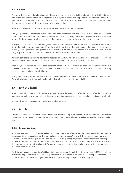## **3.3.14 Riichi**

A player with a concealed waiting hand can declare riichi by clearly saying riichi, rotating the discarded tile sideways and paying 1,000 points to the table by placing a stick by the discards. If an opponent claims the rotated discard for winning, the riichi declaration is invalid and the 1,000 points are returned to the riichi declarer. If an opponent claims the rotated tile for a melded set, rotate your next discarded tile.

A player is not allowed to declare riichi if there are less than four tiles left in the wall.

The 1,000 points goes back to the riichi declarer if he wins. If another is the winner of the current hand, he collects the 1,000 points. In case of multiple winners, the 1,000 points are collected by the winner first in order after the discarder. In case of a drawn game the riichi bet stays on the table to be claimed by the next player to win a hand.

A player who declared riichi can no longer change his hand. However, he may declare a concealed kong if a tile is drawn that matches a concealed pung, if this does not change the waiting pattern and if the three tiles to be konged can only be interpreted as a pung in the original riichi hand. (In case of three consecutive pungs in the same suit, no kong may be declared, since the tiles can be interpreted as three identical chows).

It is permissible for a player who is furiten to declare riichi. A player who after declaring riichi, chooses not to win on a discard that completes his hand, becomes furiten. A player who is furiten can still win on self-draw.

Riichi is a yaku. A player who wins in the first set of turns after the riichi declaration (including the player's next draw) can claim an additional yaku for ippatsu. The ippatsu chance is lost if the set of turns is broken by claims for kong, pung or chow, including concealed kongs.

A player who wins after declaring riichi, reveals the tiles underneath the dora indicator and any kan dora indicators. These tiles indicate ura dora which can be claimed only by players who declared riichi.

# **3.4 End of a hand**

A hand can end in three ways: by exhaustive draw (no-one declares a win after the discard after the last tile), by abortive draw or by one or more players declaring a win. Chombo results in a re-deal and does not count as a hand.

At the end of a hand players should never look at tiles in the wall.

## **3.4.1 Last tile**

The last tile in the wall can only be claimed for a win, not for a kong, pung or chow. In case a kong is declared at the second-to-last tile, the replacement tile becomes the last tile. It is not allowed to declare a concealed kong on the last tile.

## **3.4.2 Exhaustive draw**

An exhaustive draw occurs if no-one declares a win after the discard after the last tile. The 14 tiles of the dead wall are not used. After an exhaustive draw the noten players (players who can't or won't show a tenpai hand) pay a penalty to tenpai (waiting) players (players who show a tenpai (waiting) hand). Players announce whether they are tenpai or noten in order: East declares first, then South, then West and finally North. It is permissible to declare out of turn, but the announcement cannot be changed. Players who have declared riichi are obliged to show their tenpai hands in case of an exhaustive draw.

The total noten penalty amounts to 3,000 points. If three players are tenpai, the noten player pays 1,000 to each. If two players are tenpai, they each received 1500 points from a noten player. If only one player is tenpai he receives 1,000 points from each of the noten players. If none or all players are tenpai no points are exchanged.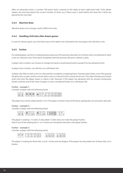After an exhaustive draw, a counter (100 point stick) is placed on the table at East's right-hand side. If the dealer rotates, the new East places the current number of sticks; e.g. if there were 2 sticks before the draw the 3 sticks are placed by the new East.

### **3.4.3 Abortive draw**

Abortive draws are no longer used in EMA riichi rules.

#### **3.4.4 Handling riichi bets after drawn games**

In case of a drawn game, any riichi bets stay on the table to be claimed by the next player who declares a win.

#### **3.4.5 Furiten**

If a waiting player can form a mahjong hand using one of his previous discards, he is furiten and is not allowed to claim a win on a discard, even if the hand completed with the previous discard is without a yaku.

A player who is furiten can choose to change his hand to avoid being furiten (except if he has declared riichi).

A player who is furiten, can still win on a self-drawn tile.

A player who fails to claim a win on a discard that completes a mahjong hand, is temporarily furiten, even if the passed tile gives him no yaku, and he cannot claim a win on a discard in the current set of turns. The state of temporary furiten ends next time the player draws or claims a tile. However, if the player has declared riichi he remains temporarily furiten until the end of the hand. A player is never considered furiten on a self-drawn tile.

#### **Furiten – example 1:**

Consider a player with the following hand:



The player has a three-sided wait for 3-6-9. The player is furiten if any of the three waiting tiles are among his discards.

#### **Furiten – example 2:**

Consider a player with the following hand:



The player is waiting 1-4 circles. A discarded 7 circles does not make the player furiten. Only if one of the waiting tiles (1 or 4 circles) are among the discards is the player furiten.

#### **Furiten – example 3:**

Consider a player with the following hand:



The player is waiting for three tiles: 4 and 7 circles and red dragon. If the player has discarded one of these tiles, he is furiten.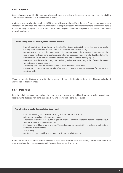## **3.4.6 Chombo**

Severe offenses are punished by chombo, after which there is a re-deal of the current hand. If a win is declared at the same time as a chombo occurs, the chombo is voided.

In a tournament the chombo penalty is 20,000 points which are deducted from the player's overall tournament score after the game is finished, and after the uma is added to the players' scores. Outside tournaments the chombo penalty is a reverse mangan payment: 4,000 to East, 2,000 to other players. If the offending player is East, 4,000 is paid to each of the other players.

#### **The following offences are subject to chombo penalty:**

- Invalidly declaring a win and showing the tiles. The win can be invalid because the hand is not a valid winning hand or because the declaration was not valid (see **section 5.1.2**.).
- Declaring riichi on a hand that is not waiting. This is determined only in case of a drawn game. In the case where a valid riichi hand is only considered noten because it was declared a dead hand after the riichi declaration, it is not considered a chombo, and only the noten penalty is paid.
- Making an invalid concealed kong after declaring riichi (determined only if the offender declares a win or in case of a drawn game).
- Attempting to claim a tile after the hand has been declared a dead hand.
- Play cannot continue due to a mistake of a player. E.g. too many tiles were revealed for the game to continue fairly.

After a chombo riichi bets are returned to the players who declared riichi, and there is a re-deal. No counter is placed, and the dealer does not rotate.

## **3.4.7 Dead hand**

Some irregularities that are not punished by chombo result instead in a dead hand. A player who has a dead hand is not allowed to declare a win, kong, pung or chow, and can never be considered tenpai.

#### **The following irregularites result in a dead hand:**

- Invalidly declaring a win without showing the tiles. See **section 5.1.2**.
- Attempting to declare riichi on a open hand.
- Attempting to declare riichi, but failing to call "riichi" or failing to rotate the discard. See **section 5.3**.
- Too few or too many tiles on the hand.
- Making an invalid kong, pung or chow. The mistake can be corrected if it is realized or pointed out before the discard is made.
- Swap-calling.
- A referee call may result in a dead hand, e.g. for passing information.

In the case where a valid riichi hand is declared a dead hand after the riichi declaration, and the hand ends in an exhaustive draw, the noten penalty is paid. The case does not result in chombo.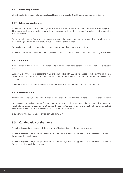### **3.4.8 Minor irregularities**

Minor irregularites are generally not penalized. Please refer to **chapter 5** on Etiquette and tournament rules.

#### **3.4.9 When a win is declared**

When a hand ends with one or more players declaring a win, the hand(s) are scored. Only winners receive payment. If there are more than one possibility for which way the winning tile finishes the hand, the highest-scoring possibility is always chosen.

A player winning on a self-draw, receives payment from the three opponents. A player whose discard results in one or more winning declarations, pays the full value of each hand to the winner.

East receives more points for a win, but also pays more in case of an opponent's self-draw.

When East wins the hand (whether more players win or not), a counter is placed on the table at East's right-hand side.

#### **3.4.10 Counters**

A counter is placed on the table at East's right-hand side after a hand where East declared a win and after an exhaustive draw.

Each counter on the table increases the value of a winning hand by 300 points. In case of self-draw the payment is shared, so each opponent pays 100 points for each counter to the winner, in addition to the standard payment for the hand.

All counters are removed after a hand where another player than East declared a win, and East did not.

### **3.4.11 Dealer rotation**

After the end of a hand, it is determined whether East stays East or whether the privilege proceeds to the next player.

East stays East if he declares a win or if he is tenpai when there is an exhaustive draw. If there are multiple winners, East stays East if he was one of the winners. Otherwise, the deal rotates, and the player who was South now becomes East, while West becomes South, North becomes West and East becomes North.

In case of chombo there is no dealer rotation: East stays East.

## **3.5 Continuation of the game**

When the dealer rotation is resolved, the tiles are shuffled face-down, and a new hand begins.

When the player who began the game as East, becomes East again after all opponents have had at least one hand as East, the south round begins.

When the player who began the game as East, becomes East again after all opponents have had at least one hand as East in the south round, the game ends.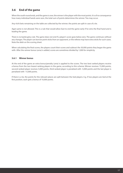# **3.6 End of the game**

When the south round ends, and the game is over, the winner is the player with the most points. It is of no consequence how many individual hands were won, the total sum of points determines the winner. Ties may occur.

Any riichi bets remaining on the table are collected by the winner; the points are split in case of a tie.

Agari yame is not allowed. This is a rule that would allow East to end the game early if he wins the final hand and is leading the game.

There is no bankruptcy rule. The game does not end if a player's score goes below zero. The game continues without any changes. The player can borrow point sticks from an opponent, or the referee may have extra sticks for such cases. Note the debt on the scoring sheet.

When calculating the final scores, the players count their scores and subtract the 30,000 points they began the game with. After the winner bonus (uma) is added, scores are sometimes divided by 1,000 for simplicity.

## **3.6.1 Winner bonus**

At the end of the game an extra bonus/penalty (uma) is applied to the scores. The two best ranked players receive a bonus from the two lowest ranking players in the game, according to this scheme: Winner receives 15,000 points, second ranked player receives 5,000 points, third ranked player is penalized with -5,000 points and the last player is penalized with -15,000 points.

If there is a tie, the points for the relevant places are split between the tied players. E.g. if two players are tied at the first position, each gets a bonus of 10,000 points.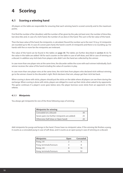# **4 Scoring**

# **4.1 Scoring a winning hand**

All players at the table are responsible for ensuring that each winning hand is scored correctly and to the maximum points.

First find the number of fan (doubles): add the number of fan given by the yaku (at least one), the number of dora tiles, kan dora tiles and, in case of a riichi hand, the number of ura dora in the hand. This sum is the fan value of the hand.

Then the base value of the hand, the minipoints, is calculated. Round the number up to the next 10 (e.g. 32 minipoints are rounded up to 40). In case of a seven pairs hand, the hand is worth 25 minipoints and there is no rounding up. For hands with five or more fan the minipoints are irrelevant.

The value of the hand can be found in the tables on **page 30**. The tables are further described in **section 4.1.3**. To the value in the table are added 100 for each counter on the table in case of self-draw, and 300 in case of winning on a discard. In addition any riichi bets from players who didn't win the hand are collected by the winner.

In case more than one player wins at the same time, the discarder settles the score with each winner individually. Each winner receives the value of the hand including the value of counters in play.

In case more than one player wins at the same time, the riichi bets from players who declared riichi without winning go to the winner closest to the discarder's right. Riichi declarers that win, always get their riichi bet back.

When scoring is done with sticks, players should put the sticks on the table where all players can see them during the exchange. When scoring is done with sticks, players are obliged to count up their sticks when asked to by opponents. The game continues if a player's score goes below zero; the player borrows score sticks from an opponent or the referee.

## **4.1.1 Minipoints**

You always get minipoints for one of the three following ways of winning:

| <b>Minipoints for winning</b>                 |    |
|-----------------------------------------------|----|
| Concealed on a discard                        | 30 |
| Seven pairs (no further minipoints are added) | 25 |
| Otherwise (Self-draw or Open hand)            | 20 |

Add minipoints for pungs and kongs in the hand. Chows have no minipoint value. If the winning tile finishes a pung, it counts as a concealed pung in case of self-draw, and it counts as an open pung in case of winning on a discard.

| <b>Minipoints</b>       | <b>Open</b> | <b>Concealed</b> |
|-------------------------|-------------|------------------|
| <b>Pung, 2-8</b>        |             |                  |
| Pung, terminals/honours |             |                  |
| Kong, 2-8               |             | 16               |
| Kong, terminals/honours | 16          | 37               |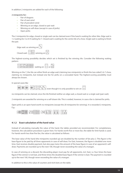In addition 2 minipoints are added for each of the following:

#### **2 minipoints for:**

- Pair of dragons
- Pair of seat wind
- Pair of prevalent wind
- Winning on an edge, closed or pair wait
- Winning on self-draw (except in case of pinfu)
- Open pinfu

The 2 minipoints for edge, closed or single wait can be claimed even if the hand is waiting for other tiles. Edge wait is 1-2 waiting for 3 or 8-9 waiting for 7. Closed wait is waiting for the centre tile of a chow. Single wait is waiting to finish the pair.

| Edge wait: as winning on $ $                                    | $\otimes$ |  |
|-----------------------------------------------------------------|-----------|--|
| © ေ ေ ေ ေ ေ ေ ေ ေ ေ ေ ေ<br>© Closed wait: ပြဲ ေ ေ ေ ေ ေ ေ ေ ေ ေ |           |  |

The highest-scoring possibility decides which set is finished by the winning tile. Consider the following waiting pattern:



Winning on the 7, the tile can either finish an edge wait (claiming two minipoints) or finish the two-sided 5-6-7 chow, claiming no minipoints, but instead one fan for pinfu on a concealed hand. The highest-scoring possibility must always be chosen.

In special cases like



no minipoints can be claimed, since the tile finished neither an edge wait, a closed wait or a single wait (pair wait).

2 minipoints are awarded for winning on a self-drawn tile. This is voided, however, in case a fan is claimed for pinfu.

Open pinfu is an open hand worth no minipoints (except the 20 minipoints for winning). It is rewarded 2 minipoints. E.g.:



## **4.1.2 Exact calculation of the hand value**

Instead of calculating manually the value of the hand, the tables provided are recommended. For completeness, however, the calculation procedure is given here. For hands worth five or more fan, the table for limit hands is used. For hands worth less than five fan, the value is calculated as follows:

The base value of the hand (the minipoints rounded up) are doubled by the number of fan plus 2. This figure is the base figure to be paid by all three opponents in case of self-draw. For East, however, the figure is doubled one more time. East receives double payment, but also pays twice the amount of the base figure in case of an opponent's selfdraw. Payments are rounded up to the next 100, though never exceeding the value of a mangan.

In case of winning on a discard, the discarding player must pay for all opponents, incl. East, i.e. four times the base figure if the winner is not East, and three times the doubled base figure if the winner is East. The payment is rounded up to the next 100, though never exceeding the value of a mangan.

In addition to this is the value of counters and riichi bets on the table.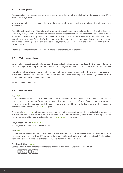## **4.1.3 Scoring tables**

The scoring tables are categorized by whether the winner is East or not, and whether the win was on a discard (ron) or on self-draw (tsumo).

In the relevant table, use the column that gives the fan value of the hand and the row that gives the minipoint value of the hand.

The table East on self-draw (Tsumo) gives the amount that each opponent should pay to East. The table Others on self-draw (Tsumo) gives two numbers; the largest number is the payment from East, the other number is the payment from each of the two other opponents. The tables for winning on a discard (Ron) gives the amount that the discarder should pay to the winner. The tables for limit hands gives the amount that each opponent should pay to a self-drawn win. In case of winning on a discard, the discarder pays for all, e.g. for a haneman the payment is 18,000 to East or 12,000 otherwise.

The value of any counters and riichi bets are added to the value found in the tables.

## **4.2 Yaku overview**

Several yaku requires that the hand is concealed. A concealed hand can be won on a discard. If the discarded winning tile finishes a pung, the pung is considered open when scoring the minipoints, but the hand as such is still concealed.

The yaku are all cumulative, so several yaku may be combined in the same mahjong hand. E.g. a concealed hand with All Simples and Mixed Triple Chows is worth 4 fan on a self-draw. If the hand is open, it is worth only two fan. No more than thirteen fan can be obtained in this way.

Yakuman are not cumulative.

## **4.2.1 One fan yaku**

#### **Riichi** RIICHI

Concealed waiting hand declared at 1,000 points stake. See **section 3.3.14** for the detailed rules of declaring riichi. An extra yaku, IPPATSU, is awarded for winning within the first un-interrupted set of turns after declaring riichi, including the next draw by the riichi declarer. If the set of turns is interrupted by claims for kong, pung or chow, including concealed kongs, the chance for IPPATSU is gone.

An extra yaku, DABURU RIICHI, is awarded for declaring riichi in the first set of turns of the hand, i.e. in the player's very first turn. The first set of turns must be uninterrupted, i.e. if any claims for kong, pung or how, including concealed kongs, has occurred before the riichi declaration, DABURU RIICHI is not possible.

#### **Fully Concealed Hand** MENZEN TSUMO

Winning on a self-draw on a concealed hand.

#### **Pinfu** PINFU

Concealed all chows hand with a valueless pair. I.e. a concealed hand with four chows and a pair that is neither dragons, nor seat wind, nor prevalent wind. The winning tile is required to finish a chow with a two-sided wait. The hand is by definition worth no minipoints, only the base 30 on a discard or 20 on self-draw.

#### **Pure Double Chow IIPEIKOU**

Concealed hand with two completely identical chows, i.e. the same values in the same suit, e.g.:

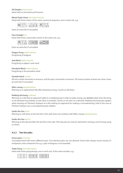#### **All Simples** TANYAO CHUU

Hand with no terminals and honours.

#### **Mixed Triple Chow** SAN SHOKU DOUJUN

Hand with three chows of the same numerical sequence, one in each suit, e.g.:



Gives an extra fan if concealed.

#### **Pure Straight ITSU**

Hand with three consecutive chows in the same suit, e.g.:



Gives an extra fan if concealed.

#### **Dragon Pung** FANPAI/YAKUHAI Pung/kong of dragons.

**Seat Wind** FANPAI/YAKUHAI Pung/kong in player's seat wind.

**Prevalent Wind** FANPAI/YAKUHAI

Pung/kong in the prevalent wind.

#### **Outside Hand** CHANTA

All sets contain terminals or honours, and the pair is terminals or honours. The hand contains at least one chow. Gives an extra fan if concealed.

#### **After a kong** RINSHAN KAIHOU

Winning on a replacement tile after declaring a kong. Counts as self-draw.

#### **Robbing the kong** CHAN KAN

Winning on a tile that an opponent adds to a melded pung in order to make a kong, see **section 3.3.6**. Since the kong is not declared successfully, no kan dora is revealed. Counts as ron (win on a discard). Robbing the kong also applies when winning on Thirteens Orphans on a tile used by an opponent for making a concealed kong. Only in the case of Thirteen Orphans can a concealed kong be robbed.

#### **Under the Sea** HAITEI

Winning on self-draw on the last tile in the wall. Does not combine with After a kong RINSHAN KAIHOU.

#### **Under the Sea** HOUTEI

Winning on the discard after the last tile in the wall. (This discard can only be claimed for winning, not for kong, pung or chow).

## **4.2.2 Two fan yaku**

#### **Seven pairs** CHI TOITSU

Concealed hand with seven different pairs. Two identical pairs are not allowed. Seven Pairs always scores exactly 25 minipoints; extra minipoints for e.g. a pair of dragons is not awarded.

#### **Triple Pung** SAN SHOKU DOKOU

Hand with three pungs/kongs, one in each suit, of the same number, e.g.:

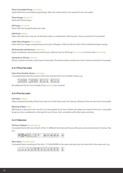#### **Three Concealed Pungs** SAN ANKOU

Hand with three concealed pungs/kongs. Note, the entire hand is not required to be concealed.

#### **Three Kongs** SAN KAN TSU

Hand with three kongs.

#### **All Pungs** TOI-TOI HOU

Hand with four pungs/kongs and a pair.

#### **Half Flush** HONITSU

Hand with tiles from only one of the three suits, in combination with honours. Gives an extra fan if concealed.

#### **Little Three Dragons** SHOU SANGEN

Hand with two dragon pungs/kongs and a pair of dragons. Add one fan for each of the individual dragon pungs.

#### **All Terminals and Honours** HONROUTOU

Hand containing only terminals and honours. Add two fan for All Pungs (TOI-TOI HOU) or Seven Pairs (CHI TOITSU).

#### **Terminals in All Sets** JUNCHAN

All sets contain terminals, and the pair is terminals. The hand contains at least one chow. Gives an extra fan if concealed.

### **4.2.3 Three fan yaku**

#### **Twice Pure Double Chows** RYAN PEIKOU

Concealed hand with four chows which two and two form Pure Double Chows, e.g.:



No additional fan for Pure Double Chow (IIPEIKOU) are counted.

## **4.2.4 Five fan yaku**

#### **Full Flush** CHINITSU

Hand composed entirely of tiles from only one of the three suits. No honours allowed. Gives an extra fan if concealed.

#### **Blessing of Man** RENHO

Winning on a discard in the very first un-interrupted set of turns, before the player has had his first turn. Concealed kongs are also considered to interrupt the set of turns. Not cumulative with other yaku and dora.

#### **4.2.5 Yakuman**

#### **Thirteen Orphans** KOKUSHI MUSOU

Concealed hand with one of each of the 13 different terminal and honour tiles plus one extra terminal or honour tile, e.g.:



#### **Nine Gates** CHUUREN POOTO

Concealed hand consisting of the tiles 1112345678999 in the same suit plus any one extra tile in the same suit, e.g.:

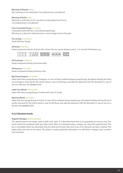#### **Blessing of Heaven** TENHO

East winning on his initial deal. Concealed kong is not allowed.

#### **Blessing of Earth CHIHO**

Winning on self-draw in the very first un-interrupted set of turns. Concealed kong is not allowed.

#### **Four Concealed Pungs** SUU ANKOU

Concealed hand with four concealed pungs/kongs. Winning on a discard is allowed only in case of single wait on the pair.

#### **Four kongs** SUU KAN TSU

Hand with four kongs.

#### **All Green** RYUU IISOU

Hand composed entirely of green tiles. Green tiles are: green dragons and 2, 3, 4, 6 and 8 of bamboo, e.g.:



#### **All Terminals** CHINROUTO

Hand composed entirely of terminal tiles.

#### **All Honours** TSUU IISOU

Hand composed entirely of honour tiles.

#### **Big Three Dragons** DAI SANGEN

Hand with three pungs/kongs of dragons. In case of three melded dragon pungs/kongs, the player feeding the third set of dragons must pay for the entire hand in case of self-draw, and split the payment with the discarder in case of win on a discard. See **section 3.3.9**.

#### **Little Four Winds** SHOU SUUSHII

Hand with three pungs/kongs of winds and a pair of winds.

#### **Big Four Winds** DAI SUUSHII

Hand with four pungs/kongs of winds. In case of four melded wind pungs/kongs, the player feeding the fourth set of winds must pay for the entire hand in case of self-draw, and split the payment with the discarder in case of win on a discard. See **section 3.3.9**.

#### **4.2.6 Obsolete hands**

#### **Nagashi Mangan** NAGASHI MANGAN

This special hand is no longer used in EMA riichi rules. It is described here due to its popularity as a house rule. This hand cannot be combined with any other hand. After an exhaustive draw, a player can claim this special hand if he has a concealed hand, has discarded only terminal and honour tiles and none of his discards has been claimed. The player does not have to be tenpai. The players receives payment equivalent to a self-drawn mangan, plus counters and riichi bets.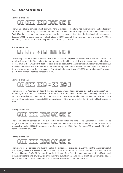## **4.3 Scoring examples**

**Scoring example 1:**



The winning tile is 9 bamboo on self-draw. The hand is concealed. The player has declared riichi. The hand scores 1 fan for Riichi, 1 fan for Fully Concealed Hand, 1 fan for Pinfu, 2 fan for Pure Straight (because the hand is concealed). Total: 5 fan. If there are no dora, kan dora or ura dora, the hand value is 5 fan. 5 fan is the limit hand called Mangan and it scores 4,000 from each if the winner is East; a total of 12,000 points. If the winner is not East, he receives 4,000 from East and 2,000 from each of the other opponents; a total of 8,000 points.

**Scoring example 2:**



The winning tile is 9 bamboo on discard. The hand is concealed. The player has declared riichi. The hand scores 1 fan) for Riichi, 1 fan for Pinfu, 2 fan for Pure Straight (because the hand is concealed. Note that even though it is a claimed tile that finishes the Pure Straight, it still scores an extra fan because the hand is concealed). Total: 4 fan. Minipoints: 30 for going out on a discard on a concealed hand. Since it is a pinfu hand there are no further minipoints. If there are no dora, kan dora or ura dora, the hand value is 4 fan, 30 minipoints, and it scores 11,600 from the discarder if the winner is East. If the winner is not East, he receives 7,700.

**Scoring example 3:**



The winning tile is 9 bamboo on discard. The hand contains a melded set. 7 bamboo is dora. The hand scores 1 fan for Pure Straight. Total: 1 fan. The hand scores an addtional fan for the dora tile. Minipoints: 20 for going out on an open hand, and an additional 2 minipoints for Open Pinfu. 22 minipoints are rounded up to 30 minipoints. The hand value is 2 fan, 30 minipoints, and it scores 2,900 from the discarder if the winner is East. If the winner is not East, he receives 2,000.

**Scoring example 4:**



The winning tile is 8 bamboo on self-draw. The hand is concealed. The hand scores a yakuman for Four Concealed Pungs. Further yaku or dora tiles are irrelevant since yakuman is the limit. If the winner is East, he receives 16,000 from each; a total of 48,000. If the winner is not East, he receives 16,000 from East and 8,000 from each of the other opponents; a total of 32,000.

**Scoring example 5:**



The winning tile is 8 bamboo on a discard. The hand is concealed. 4 circles is dora. Even though the hand is concealed, the last pung (which was finished with the claimed tile) is not considered concealed. The hand scores 2 fan for Three Concealed Pungs, 2 fan for All Pungs and 1 fan for All Simples. Total: 5 fan. The hand scores an additional fan for each of the dora tiles for a total of 8 fan. 8 fan is the limit hand called Baiman, and it scores 24,000 points from the discarder if the winner is East. If the winner is not East, he receives 16,000 points from the discarder.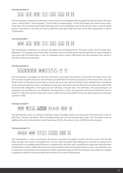#### **Scoring example 6:**



The winning tile is 4 bamboo on self-draw in the set of turns immediately after the player has declared riichi. The hand scores 1 fan for Riichi, 1 fan for Ippatsu, 1 fan for Fully Concealed Hand, 1 fan for All Simples and 2 fan for Seven Pairs. Total: 6 fan. This is the limit hand called Haneman, and it scores 6,000 from each if the winner is East; a total of 18,000 points. If the winner is not East, he receives 6,000 from East and 3,000 from each of the other opponents; a total of 12,000 points.

#### **Scoring example 7:**



The winning tile is 4 bamboo on a discard. The player had not declared riichi. The hand scores 2 fan for Seven Pairs. Minipoints: 25 for going out on Seven Pairs. The hand scores no further points even though there is a pair of dragons and a pair wait. The hand value is 2 fan, 25 minipoints, and it scores 2,400 points from the discarder if the winner is East and 1,600 points otherwise.

#### **Scoring example 8:**



The winning tile is red dragon on self-draw. The hand is concealed and contains no dora tiles. The hand scores 3 fan for Twice Pure Double Chow and 1 fan for Fully Concealed Hand. The hand cannot also score for Seven Pairs, since the hand is either constructed as seven pairs or as four sets and a pair. Since the hand is more valuable when considered as four sets and a pair than when considered as seven pairs, the hand scores for Twice Pure Double Chow rather than for Seven Pairs. Minipoints: 20 for going out on self-draw, 2 for pair wait, 2 for self-draw, 2 for pair of dragons. 26 minipoints are rounded up to 30 minipoints. The hand value is 4 fan, 30 minipoints and it scores 3,900 from each (a total of 11,700) if the winner is East, and it scores 3,900 from East and 2,000 from the two other opponents otherwise (a total of 7,900).

#### **Scoring example 9:**



The winning tile is west on a discard. 7 bamboo is dora. The player is East in an east round. The hand scores 2 fan for Half Flush, 1 fan for Seat Wind, 1 fan for Prevalent Wind and 1 fan for Outside Hand. Total: 5 fan. The hand scores an additional fan for the dora tile, for a total hand value of 6 fan. The winner scores 18,000 from the discarder.

#### **Scoring example 10:**



The winning tile is 7 circles on self-draw. The hand is concealed. The player is South. The hand scores 3 fan for Half Flush (because the hand is concealed) and 1 fan for Fully Concealed Hand. Minipoints: 20 points for going out, 8 minipoints for a concealed pung of honours 2 minipoints for self-draw and 2 minipoints for edge wait. Note that even though there is a three-sided wait, the winner chooses which set the winning tile finishes in such a way that the score is maximized. 32 minipoints are rounded up to 40 for a total hand value of 4 fan 40 minipoints, equivalent to a mangan in payment: 4,000 from East and 2,000 from the others for a total of 8,000 points.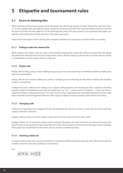# **5 Etiquette and tournament rules**

# **5.1 Errors in claiming tiles**

When claiming a tile for kong, pung or chow the player first calls "kong", "pung" or "chow" clearly. The calls "kan", "pon" or "chi" are equally valid. Secondly the player reveals the matching tiles from the hand and thirdly discards a tile from the hand and claim the tile called for. For the third step the order of the two actions is not important: the player can take the claimed tile first and then discard, or the other way round.

Errors in the order above when claiming tiles should be pointed out to the player, but there will be no penalty.

## **5.1.1 Failing to take the claimed tile**

While a player who claims a tile can make a discard before placing the claimed tile with his revealed tiles, the player should take the tile before the next two players have made a discard. Failing to take the tile in a timely manner results in a dead hand, since the player will have a false set.

## **5.1.2 Empty calls**

Empty calls for kong, pung or chow (calling kong, pung or chow and regretting it immediately before revealing any tiles) are not penalized.

Empty calls for ron or tsumo (calling ron, tsumo or mahjong, but not showing the tiles before realising the mistake) results in a dead hand.

A player must use a valid term for calling a win. A player calling "Ippatsu" and revealing his tiles is subject to chombo penalty. A player immediately correcting an invalid term, e.g. "Hu – I mean tsumo" or "Ippatsu – I mean ron" have a valid hand. Players confusing the terms "ron" and "tsumo" have a valid hand, but it should be pointed out that a valid term should be used and repeated offenses of this type are subject to further penalty at the referee's discretion.

## **5.1.3 Changing calls**

Calls are not supposed to be changed. The first call should be the valid one. However, unless the call was for winning, a quick correction is allowed.

A player calling "pung, no ron" has made a valid correction of his call, and the ron call is valid.

A player calling "ron, no pung" has made a call for winning. The player can claim the tile for ron, but not for pung. If he doesn't have a winning hand, he has a dead hand if no tiles were revealed or if two tiles for the pung call was revealed. If the player has revealed all his tiles in this case, he receives a chombo penalty.

## **5.1.4 Claiming a false set**

If a player claims a false set, it can be corrected if it is discovered before the player discards a tile. After the discard, the mistake cannot be corrected, resulting in a dead hand.

E.g.

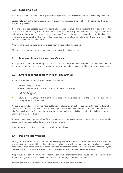# **5.2 Exposing tiles**

Exposing a few tiles is not penalized. Exposed tiles are placed back in the wall or in the hand where they came from.

Exposing tiles during the deal is not penalized. If the situation is judged problematic for the game play there is a redeal, but no penalties.

If too many tiles are exposed during the game, play cannot continue. This is a judgment that depends on the circumstances and the progression of the game. As a rule of thumb, play cannot continue if a large fraction of the wall is destroyed or several tiles revealed from an opponent's hand. If the game cannot continue, the offending player receives a chombo penalty. If the mistake happened due to no mistake on a player's part, there is a re-deal (like chombo, but without any point penalty).

After the hand ends, players should not expose tiles from the wall or the dead wall.

Tiles exposed on purpose in severe or repeated cases is considered obstruction.

### **5.2.1 Drawing a tile from the wrong part of the wall**

If a player draws a tile from the wrong part of the wall, and the mistake is realised or pointed out before the discard, the mistake should be corrected. After the discard the error cannot be corrected. In either case there is no penalty.

## **5.3 Errors in connection with riichi declaration**

A valid riichi declaration should be announced in three steps:

- 1. The players clearly calls "riichi"
- 2. The player discards a tile and rotates it sideways in the discard line, e.g.



3. The player places a 1,000 point stick on the table close to his discards and close to the center of the table where it is clearly visible to all opponents.

A player who completes the first two steps, but forgets to place the riichi bet of 1,000 points still has a valid riichi, but should correct the mistake as soon as it is realised or pointed out. Opponents should point out the mistake. A player who fails to call "riichi" or fails to rotate the discard has not made a valid riichi declaration. The riichi bet is returned and the player has a dead hand.

If an opponent claims the rotated tile for a melded set, and the player forgets to rotate the next discarded tile, opponents should point out and the mistake. There is no penalty.

Attempting to declare riichi on a open hand results in a dead hand.

## **5.4 Passing information**

Passing information or hints on opponents' strategy in any way, e.g. on tenpai status, whether discards are dangerous or what yaku someone might be aiming for is bad behaviour and in serious or repeated cases the player is subject to dead hand or point penalties at the referee's discretion. Normally the opponents should give the offending player a clear warning and in serious or repeated cases call a referee who can choose to penalize the player.

It is permissible to correct a player who is about to commit a minor irregularity or etiquette error, e.g. drawing a tile from the wrong place in the wall, claiming a false set or forgetting to take a replacement tile.

It is permissible to make it clear if a player has a dead hand, e.g. too many or too few tiles.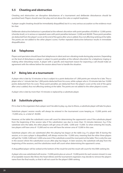# **5.5 Cheating and obstruction**

Cheating and obstruction are disruptive disturbances of a tournament and deliberate disturbances should be punished hard. Players should enact fair play and not abuse the rules or exploit loopholes.

A player caught cheating should be immediately disqualified; but it is a very serious accusation so the evidence must be clear.

Deliberate obstructive behaviour is penalized at the referee's discretion with point penalties of 8,000 or 12,000 points (chombo level), or in serious or repeated cases with point penalties between 12,000 and 48,000. These point penalties are deducted from the player's score at the end of the game after uma is added, thus not affecting ranking at the table. The points are not added to the other players' scores. Further repeated obstructive behaviour results in immediate disqualification.

# **5.6 Telephones**

Players and spectators should have their telephones in silent and non-vibrating mode during play sessions. Depending on the level of disturbance a player is subject to point penalties at the referee's discretion for a telephone ringing or making other disturbing noises. A player with a specific and important reason for expecting a call should make an agreement with the referee before the session about how to handle the situation.

## **5.7 Being late at a tournament**

A player who is late by 10 minutes or less is subject to a point deduction of 1,000 points per minute he is late. Thus a player who is 1 minute late has 1,000 points deducted from his score, while a player who is 10 minutes late has 10,000 points deducted from his score. These point penalties are deducted from the player's score at the end of the game after uma is added, thus not affecting ranking at the table. The points are not added to the other players's scores.

A player who is late by more than 10 minutes is replaced by a substitute player.

# **5.8 Substitute players**

If it is clear to the organizers that a player won't be able to play, e.g. due to illness, a substitute player will take his place.

Substitute players' session results will always be entered in the tournament score keeping as -15,000 points and -15,000 uma, i.e. a total of -30,000.

However, at the table the substitute's score will count for determining the opponents's uma if the substitute played from the beginning of the session (also if the substitution was due to more than 10 minutes lateness). E.g. if the substitute wins the table, the other players will get umas of 5,000, -5,000 and -15,000. So when entering the results, two players will have uma of -15,000 and no one will have the winner uma of 15,000 in this case.

Substitute players who are substituted after the playing has begun at the table (e.g. if a player falls ill during the session, or in case a player is disqualified), will always receive the -15,000 uma, meaning that the other three players will get the 15,000, 5,000 and -5,000 uma even if the substitute scored the most point at the table. This is only the case in the session where the substitution occurs after play has begun. In later sessions, the substitute will play from the beginning of the sessions, and the substitutes result will count when determining the opponent's umas.

A disqualified player will be ranked at the bottom of the result list and the result will count for the EMA ranking list.

A player who was substituted will receive -15,000 points plus an uma of -15,000 points for each session missed. In case of acceptable reasons like illness the head referee and the tournament organizers may decide to remove the player's name from the final results, so that it will not count for the player's EMA ranking.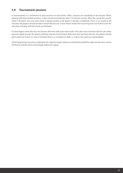# **5.9 Tournament sessions**

In tournaments it is convenient to play sessions on time limits. Often, sessions are scheduled at 90 minutes. When playing with time limited sessions, a clear sound must indicate when 15 minutes remain. After the sound the current hand is finished, and one more hand is played (unless a full game is already completed). There is no sound at 90 minutes; the players should be able to finish the last one or two hands within the remaining time, but if that is not the case they will play until the hands are finished.

A hand begins when the dice are thrown after the walls have been built. If the dice have not been thrown yet when the time signal sounds, the players will play only the current hand. If the dice have just been thrown, the players would get to play two hands. In case of chombo there is a complete re-deal, i.e. it does not count as a hand played.

At the beginning of sessions, waiting for the signal to begin, players are allowed to build the walls, but the dice cannot be thrown and the deal cannot begin before the signal.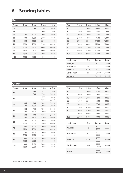# **Scoring tables**

# **East**

| Tsumo | 1 fan | 2 fan | 3 fan | 4 fan |
|-------|-------|-------|-------|-------|
| 20    |       | 700   | 1300  | 2600  |
| 25    |       |       | 1600  | 3200  |
| 30    | 500   | 1000  | 2000  | 3900  |
| 40    | 700   | 1300  | 2600  | 4000  |
| 50    | 800   | 1600  | 3200  | 4000  |
| 60    | 1000  | 2000  | 3900  | 4000  |
| 70    | 1200  | 2300  | 4000  | 4000  |
| 80    | 1300  | 2600  | 4000  | 4000  |
| 90    | 1500  | 2900  | 4000  | 4000  |
| 100   | 1600  | 3200  | 4000  | 4000  |

| Ron | 1 fan | 2 fan | 3 fan | 4 fan |
|-----|-------|-------|-------|-------|
|     |       |       |       |       |
| 25  |       | 2400  | 4800  | 9600  |
| 30  | 1500  | 2900  | 5800  | 11600 |
| 40  | 2000  | 3900  | 7700  | 12000 |
| 50  | 2400  | 4800  | 9600  | 12000 |
| 60  | 2900  | 5800  | 11600 | 12000 |
| 70  | 3400  | 6800  | 12000 | 12000 |
| 80  | 3900  | 7700  | 12000 | 12000 |
| 90  | 4400  | 8700  | 12000 | 12000 |
| 100 | 4800  | 9600  | 12000 | 12000 |

| <b>Limit hand</b> | Fan      | Tsumo | Ron   |
|-------------------|----------|-------|-------|
| Mangan            | 5        | 4000  | 12000 |
| Haneman           | $6 - 7$  | 6000  | 18000 |
| <b>Baiman</b>     | $8 - 10$ | 8000  | 24000 |
| Sanbaiman         | $11+$    | 12000 | 36000 |
| Yakuman           |          | 16000 | 48000 |

| <b>Other</b> |       |            |             |              |
|--------------|-------|------------|-------------|--------------|
| Tsumo        | 1 fan | 2 fan      | 3 fan       | 4 fan        |
| 20           |       | 400<br>700 | 700<br>1300 | 1300<br>2600 |
| 25           |       |            | 800<br>1600 | 1600<br>3200 |
| 30           | 300   | 500        | 1000        | 2000         |
|              | 500   | 1000       | 2000        | 3900         |
| 40           | 400   | 700        | 1300        | 2000         |
|              | 700   | 1300       | 2600        | 4000         |
| 50           | 400   | 800        | 1600        | 2000         |
|              | 800   | 1600       | 3200        | 4000         |
| 60           | 500   | 1000       | 2000        | 2000         |
|              | 1000  | 2000       | 3900        | 4000         |
| 70           | 600   | 1200       | 2000        | 2000         |
|              | 1200  | 2300       | 4000        | 4000         |
| 80           | 700   | 1300       | 2000        | 2000         |
|              | 1300  | 2600       | 4000        | 4000         |
| 90           | 800   | 1500       | 2000        | 2000         |
|              | 1500  | 2900       | 4000        | 4000         |
| 100          | 800   | 1600       | 2000        | 2000         |
|              | 1600  | 3200       | 4000        | 4000         |

| Ron | 1 fan | 2 fan | 3 fan | 4 fan |
|-----|-------|-------|-------|-------|
| 25  |       | 1600  | 3200  | 6400  |
| 30  | 1000  | 2000  | 3900  | 7700  |
| 40  | 1300  | 2600  | 5200  | 8000  |
| 50  | 1600  | 3200  | 6400  | 8000  |
| 60  | 2000  | 3900  | 7700  | 8000  |
| 70  | 2300  | 4500  | 8000  | 8000  |
| 80  | 2600  | 5200  | 8000  | 8000  |
| 90  | 2900  | 5800  | 8000  | 8000  |
| 100 | 3200  | 6400  | 8000  | 8000  |

| <b>Limit hand</b> | Fan      | <b>Tsumo</b>  | Ron   |
|-------------------|----------|---------------|-------|
| Mangan            | 5        | 2000<br>4000  | 8000  |
| Haneman           | $6 - 7$  | 3000<br>6000  | 12000 |
| <b>Baiman</b>     | $8 - 10$ | 4000<br>8000  | 16000 |
| Sanbaiman         | $11+$    | 6000<br>12000 | 24000 |
| Yakuman           |          | 8000<br>16000 | 32000 |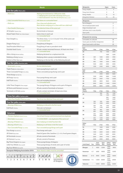#### **Riichi**

| One fan yaku lihan yaku              |                                                                                                                                                                      |  |  |
|--------------------------------------|----------------------------------------------------------------------------------------------------------------------------------------------------------------------|--|--|
| – Riichi <sub>Riichi</sub>           | Waiting hand declared at 1000 points stake<br>+1: Mahjong first round after declaring riichi Ippatsu<br>+1: Riichi declared in very first set of turns Daburu riichi |  |  |
| - Fully Concealed Hand Menzen tsumo  | Self-draw on a concealed hand                                                                                                                                        |  |  |
| $-$ Pinfu Pinfu                      | Four chow and valueless pair<br>Must declare mahjong on a chow with two-sided wait                                                                                   |  |  |
| - Pure Double Chow lipeikou          | Two identical chow of the same suit                                                                                                                                  |  |  |
| All Simples Tanyao chuu              | No terminals or honours                                                                                                                                              |  |  |
| Mixed Triple Chow San shoku doujun   | Same chow in each suit<br>+1: Concealed hand                                                                                                                         |  |  |
| Pure Straight Itsu                   | The three chow, 1-2-3, 4-5-6 and 7-8-9, of the same suit<br>+1: Concealed hand                                                                                       |  |  |
| Dragon Pung Fanpai                   | Pung/kong of dragons                                                                                                                                                 |  |  |
| Seat/Prevalent Wind Fanpai           | Pung/kong of seat or prevalent wind                                                                                                                                  |  |  |
| Outside Hand Chanta                  | All sets contain terminals/honours. At least one chow.<br>+1: Concealed hand                                                                                         |  |  |
| After a Kong Rinshan kaihou          | Mahjong declared on a replacement tile                                                                                                                               |  |  |
| Robbing a Kong Chan kan              | Mahjong when a pung is extended to kong                                                                                                                              |  |  |
| Bottom of the Sea Haitei             | Mahjong on the last tile, or the following discard                                                                                                                   |  |  |
| Two fan yaku Ryanhan yaku            |                                                                                                                                                                      |  |  |
| - Seven pairs Chii Toitsu            | No two identical pairs                                                                                                                                               |  |  |
| Triple Pung San shoku dokou          | Same pung/kong in each suit                                                                                                                                          |  |  |
| Three Concealed Pungs San ankou      | Three concealed pungs/kongs and a pair                                                                                                                               |  |  |
| Three Kongs San kan tsu              |                                                                                                                                                                      |  |  |
| All Pungs Toitoi hou                 | Four pungs/kongs and a pair                                                                                                                                          |  |  |
| Half Flush Honitsu                   | One suit including honours<br>+1: Concealed hand                                                                                                                     |  |  |
| Little Three Dragons Shou sangen     | Two pungs/kongs of dragons and a pair of dragons                                                                                                                     |  |  |
| All Terms and Honours Honroutou      | All sets consist of terminals or honours                                                                                                                             |  |  |
| Terminals in All Sets Junchan        | All sets contain terminals. At least one chow.<br>+1: Concealed hand                                                                                                 |  |  |
| Three fan yaku Sanhan yaku           |                                                                                                                                                                      |  |  |
| - Twice Pure Double Chow Ryan peikou | Two times two identical chow and a pair                                                                                                                              |  |  |
| Five fan yaku Uhan yaku              |                                                                                                                                                                      |  |  |
| - Blessing of Man Renho              | Mahjong on discard in the first round                                                                                                                                |  |  |
| <b>Full Flush Chinitsu</b>           | One suit, no honours<br>+1: Concealed hand                                                                                                                           |  |  |
| Yakuman                              |                                                                                                                                                                      |  |  |
| - Thirteen Orphans Kokushi musou     | One of each honour and terminal and one duplicate                                                                                                                    |  |  |
| - Nine Gates Chuuren pooto           | 1112345678999 + one duplicate of the same suit                                                                                                                       |  |  |
| - Blessing of Heaven Tenho           | East mahjong on initial fourteen tiles                                                                                                                               |  |  |
| - Blessing of Earth Chiho            | Mahjong on self-draw in the first round                                                                                                                              |  |  |
| - Four Concealed Pungs Suu ankou     | Four concealed pungs/kongs and a pair                                                                                                                                |  |  |
| Four Kongs Suu kan tsu               | Four kongs and a pair                                                                                                                                                |  |  |
| All Green Ryuu iisou                 | Hand of green tiles: bamboo 2, 3, 4, 6, 8 and green dragon                                                                                                           |  |  |
| All Terminals Chinrouto              | All sets consist of terminals                                                                                                                                        |  |  |
| All Honours Tsuu iisou               | All sets consist of honours                                                                                                                                          |  |  |
| Big Three Dragons Dai sangen         | Three pungs/kongs of dragons                                                                                                                                         |  |  |

Little Four Winds Shou suushii Three pungs/kongs of winds and a pair of winds

Big Four Winds Dai suushii Four pungs/kongs of winds **European Mahjong Association 2016** *Note: Hands in italics must be concealed!*





**JON** succession of dragons

| <b>Minipoints</b>                   |                |                            |              | Open           | Conc.          |  |  |
|-------------------------------------|----------------|----------------------------|--------------|----------------|----------------|--|--|
| Pung, simples                       |                |                            |              | 2              | 4              |  |  |
| Pung, term./honour                  |                |                            |              | 4              | 8              |  |  |
| Kong, simples                       |                |                            |              | 8              | 16             |  |  |
| Kong term./honour                   |                |                            |              | 16             | 32             |  |  |
| <b>Minipoints</b>                   |                |                            |              |                |                |  |  |
| Pair of dragons                     | $\overline{2}$ |                            |              |                |                |  |  |
| Pair of seat/prevalent wind         |                |                            |              |                | $\overline{2}$ |  |  |
| Edge/closed/pair wait               |                | $\overline{2}$             |              |                |                |  |  |
| Self-draw (not in case of pinfu)    |                |                            |              |                | $\overline{2}$ |  |  |
| Open pinfu                          |                | $\overline{2}$             |              |                |                |  |  |
|                                     |                |                            |              |                |                |  |  |
| Minipoints for winning              |                |                            |              |                |                |  |  |
| Concealed, on a discard             |                | 30                         |              |                |                |  |  |
| Seven pairs (no further minipoints) |                | 25<br>20                   |              |                |                |  |  |
| Open hand and/or self-draw          |                |                            |              |                |                |  |  |
| East                                | 1 fan          |                            | 2 fan        |                | 4 fan          |  |  |
| Tsumo<br>20                         |                |                            | 700          | 3 fan<br>1300  | 2600           |  |  |
|                                     |                |                            |              |                |                |  |  |
| 25<br>30                            |                |                            |              | 1600<br>2000   | 3200<br>3900   |  |  |
| 40                                  |                | 500<br>1000<br>700<br>1300 |              | 2600           | 4000           |  |  |
| 50                                  |                | 800<br>1600                |              | 3200           | 4000           |  |  |
| 60                                  |                | 1000<br>2000               |              | 3900           | 4000           |  |  |
| 70                                  | 1200           |                            | 2300         | 4000           | 4000           |  |  |
|                                     |                |                            |              |                |                |  |  |
| East<br>Ron                         | 1 fan          |                            | 2 fan        | 3 fan          | 4 fan          |  |  |
| 25                                  |                |                            | 2400         | 4800           | 9600           |  |  |
| 30                                  | 1500           |                            | 2900         | 5800           | 11600          |  |  |
| 40                                  | 2000           |                            | 3900         | 7700           | 12000          |  |  |
| 50                                  | 2400           |                            | 4800         | 9600           | 12000          |  |  |
| 60                                  | 2900           |                            | 5800         | 11600          | 12000          |  |  |
| 70                                  | 3400           |                            | 6800         | 12000          | 12000          |  |  |
| Other                               |                |                            |              |                |                |  |  |
| Tsumo                               | 1 fan          |                            | 2 fan        | 3 fan          | 4 fan          |  |  |
| 20                                  |                |                            | 400<br>700   | 700<br>1300    | 1300<br>2600   |  |  |
|                                     |                |                            |              | 800            | 1600           |  |  |
| 25                                  |                |                            |              | 1600           | 3200           |  |  |
| 30                                  | 300<br>500     |                            | 500<br>1000  | 1000<br>2000   | 2000<br>3900   |  |  |
|                                     | 400            |                            | 700          | 1300           | 2000           |  |  |
| 40                                  | 700            |                            | 1300         | 2600           | 4000           |  |  |
| 50                                  | 400            |                            | 800          | 1600           | 2000           |  |  |
|                                     | 800            |                            | 1600         | 3200           | 4000           |  |  |
| 60                                  | 500<br>1000    |                            | 1000<br>2000 | 2000<br>3900   | 2000<br>4000   |  |  |
| 70                                  | 600            |                            | 1200         | 2000           | 2000           |  |  |
|                                     | 1200           |                            | 2300         | 4000           | 4000           |  |  |
| Other                               |                |                            |              |                |                |  |  |
| Ron                                 | 1 fan          |                            | 2 fan        | 3 fan          | 4 fan          |  |  |
| 25                                  |                |                            | 1600         | 3200           | 6400           |  |  |
| 30                                  | 1000           |                            | 2000         | 3900           | 7700           |  |  |
| 40                                  | 1300           |                            | 2600         | 5200           | 8000           |  |  |
| 50                                  | 1600           |                            | 3200         | 6400           | 8000           |  |  |
| 60<br>70                            | 2000<br>2300   |                            | 3900<br>4500 | 7700<br>8000   | 8000<br>8000   |  |  |
|                                     |                |                            |              |                |                |  |  |
| <b>Limit Hand</b>                   | Fan            | East<br>Tsumo              | East<br>Ron  | Other<br>Tsumo | Other<br>Ron   |  |  |
| Mangan                              | 5              | 4000                       | 12000        | 2000<br>4000   | 8000           |  |  |
| Haneman                             | $6 - 7$        | 6000                       | 18000        | 3000<br>6000   | 12000          |  |  |
| <b>Baiman</b>                       | $8 - 10$       | 8000                       | 24000        | 4000<br>8000   | 16000          |  |  |
| Sanbaiman                           | $11 +$         | 12000                      | 36000        | 6000<br>12000  | 24000          |  |  |
| Yakuman                             |                | 16000                      | 48000        | 8000<br>16000  | 32000          |  |  |
|                                     |                |                            |              |                |                |  |  |